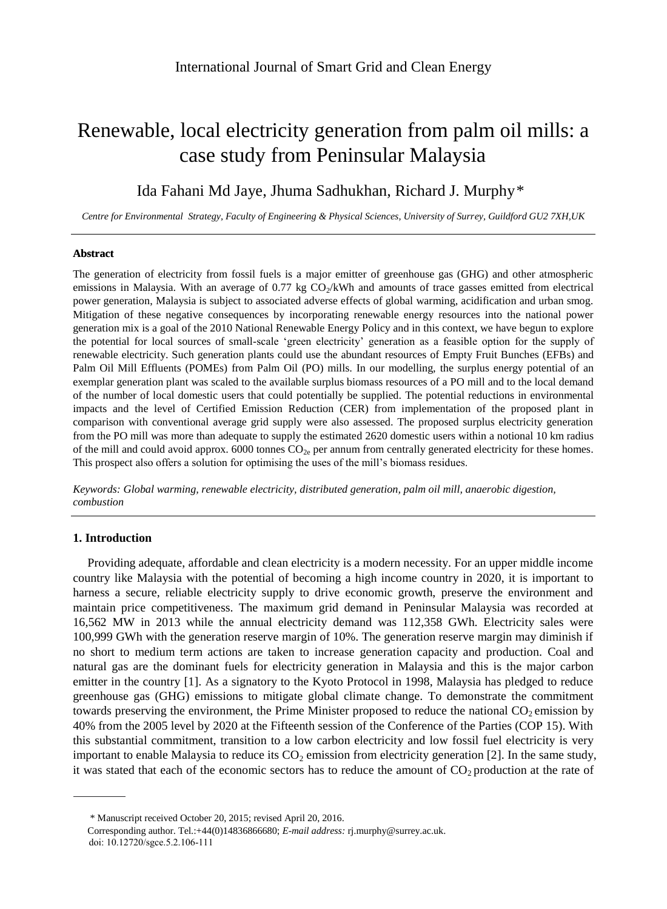# Renewable, local electricity generation from palm oil mills: a case study from Peninsular Malaysia

# Ida Fahani Md Jaye, Jhuma Sadhukhan, Richard J. Murphy\*

*Centre for Environmental Strategy, Faculty of Engineering & Physical Sciences, University of Surrey, Guildford GU2 7XH,UK*

# **Abstract**

The generation of electricity from fossil fuels is a major emitter of greenhouse gas (GHG) and other atmospheric emissions in Malaysia. With an average of  $0.77$  kg  $CO<sub>2</sub>/kWh$  and amounts of trace gasses emitted from electrical power generation, Malaysia is subject to associated adverse effects of global warming, acidification and urban smog. Mitigation of these negative consequences by incorporating renewable energy resources into the national power generation mix is a goal of the 2010 National Renewable Energy Policy and in this context, we have begun to explore the potential for local sources of small-scale 'green electricity' generation as a feasible option for the supply of renewable electricity. Such generation plants could use the abundant resources of Empty Fruit Bunches (EFBs) and Palm Oil Mill Effluents (POMEs) from Palm Oil (PO) mills. In our modelling, the surplus energy potential of an exemplar generation plant was scaled to the available surplus biomass resources of a PO mill and to the local demand of the number of local domestic users that could potentially be supplied. The potential reductions in environmental impacts and the level of Certified Emission Reduction (CER) from implementation of the proposed plant in comparison with conventional average grid supply were also assessed. The proposed surplus electricity generation from the PO mill was more than adequate to supply the estimated 2620 domestic users within a notional 10 km radius of the mill and could avoid approx. 6000 tonnes  $CO_{2e}$  per annum from centrally generated electricity for these homes. This prospect also offers a solution for optimising the uses of the mill's biomass residues.

*Keywords: Global warming, renewable electricity, distributed generation, palm oil mill, anaerobic digestion, combustion*

# **1. Introduction**

Providing adequate, affordable and clean electricity is a modern necessity. For an upper middle income country like Malaysia with the potential of becoming a high income country in 2020, it is important to harness a secure, reliable electricity supply to drive economic growth, preserve the environment and maintain price competitiveness. The maximum grid demand in Peninsular Malaysia was recorded at 16,562 MW in 2013 while the annual electricity demand was 112,358 GWh. Electricity sales were 100,999 GWh with the generation reserve margin of 10%. The generation reserve margin may diminish if no short to medium term actions are taken to increase generation capacity and production. Coal and natural gas are the dominant fuels for electricity generation in Malaysia and this is the major carbon emitter in the country [1]. As a signatory to the Kyoto Protocol in 1998, Malaysia has pledged to reduce greenhouse gas (GHG) emissions to mitigate global climate change. To demonstrate the commitment towards preserving the environment, the Prime Minister proposed to reduce the national  $CO<sub>2</sub>$  emission by 40% from the 2005 level by 2020 at the Fifteenth session of the Conference of the Parties (COP 15). With this substantial commitment, transition to a low carbon electricity and low fossil fuel electricity is very important to enable Malaysia to reduce its  $CO<sub>2</sub>$  emission from electricity generation [2]. In the same study, it was stated that each of the economic sectors has to reduce the amount of  $CO<sub>2</sub>$  production at the rate of

<sup>\*</sup> Manuscript received October 20, 2015; revised April 20, 2016.

Corresponding author. Tel.:+44(0)14836866680; *E-mail address:* rj.murphy@surrey.ac.uk. doi: 10.12720/sgce.5.2.106-111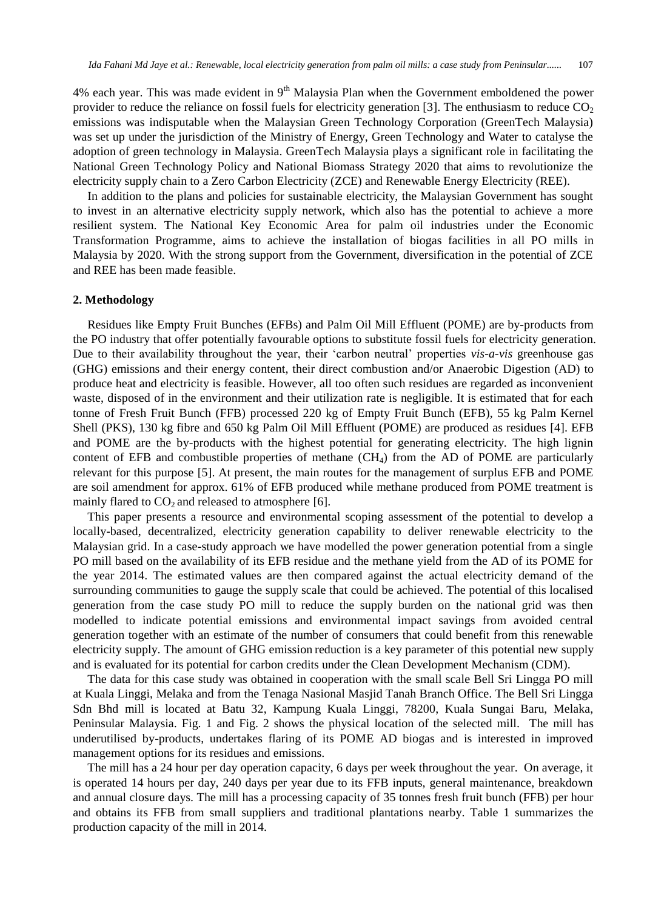4% each year. This was made evident in  $9<sup>th</sup>$  Malaysia Plan when the Government emboldened the power provider to reduce the reliance on fossil fuels for electricity generation [3]. The enthusiasm to reduce  $CO<sub>2</sub>$ emissions was indisputable when the Malaysian Green Technology Corporation (GreenTech Malaysia) was set up under the jurisdiction of the Ministry of Energy, Green Technology and Water to catalyse the adoption of green technology in Malaysia. GreenTech Malaysia plays a significant role in facilitating the National Green Technology Policy and National Biomass Strategy 2020 that aims to revolutionize the electricity supply chain to a Zero Carbon Electricity (ZCE) and Renewable Energy Electricity (REE).

In addition to the plans and policies for sustainable electricity, the Malaysian Government has sought to invest in an alternative electricity supply network, which also has the potential to achieve a more resilient system. The National Key Economic Area for palm oil industries under the Economic Transformation Programme, aims to achieve the installation of biogas facilities in all PO mills in Malaysia by 2020. With the strong support from the Government, diversification in the potential of ZCE and REE has been made feasible.

#### **2. Methodology**

Residues like Empty Fruit Bunches (EFBs) and Palm Oil Mill Effluent (POME) are by-products from the PO industry that offer potentially favourable options to substitute fossil fuels for electricity generation. Due to their availability throughout the year, their 'carbon neutral' properties *vis-a-vis* greenhouse gas (GHG) emissions and their energy content, their direct combustion and/or Anaerobic Digestion (AD) to produce heat and electricity is feasible. However, all too often such residues are regarded as inconvenient waste, disposed of in the environment and their utilization rate is negligible. It is estimated that for each tonne of Fresh Fruit Bunch (FFB) processed 220 kg of Empty Fruit Bunch (EFB), 55 kg Palm Kernel Shell (PKS), 130 kg fibre and 650 kg Palm Oil Mill Effluent (POME) are produced as residues [4]. EFB and POME are the by-products with the highest potential for generating electricity. The high lignin content of EFB and combustible properties of methane (CH4) from the AD of POME are particularly relevant for this purpose [5]. At present, the main routes for the management of surplus EFB and POME are soil amendment for approx. 61% of EFB produced while methane produced from POME treatment is mainly flared to  $CO<sub>2</sub>$  and released to atmosphere [6].

This paper presents a resource and environmental scoping assessment of the potential to develop a locally-based, decentralized, electricity generation capability to deliver renewable electricity to the Malaysian grid. In a case-study approach we have modelled the power generation potential from a single PO mill based on the availability of its EFB residue and the methane yield from the AD of its POME for the year 2014. The estimated values are then compared against the actual electricity demand of the surrounding communities to gauge the supply scale that could be achieved. The potential of this localised generation from the case study PO mill to reduce the supply burden on the national grid was then modelled to indicate potential emissions and environmental impact savings from avoided central generation together with an estimate of the number of consumers that could benefit from this renewable electricity supply. The amount of GHG emission reduction is a key parameter of this potential new supply and is evaluated for its potential for carbon credits under the Clean Development Mechanism (CDM).

The data for this case study was obtained in cooperation with the small scale Bell Sri Lingga PO mill at Kuala Linggi, Melaka and from the Tenaga Nasional Masjid Tanah Branch Office. The Bell Sri Lingga Sdn Bhd mill is located at Batu 32, Kampung Kuala Linggi, 78200, Kuala Sungai Baru, Melaka, Peninsular Malaysia. Fig. 1 and Fig. 2 shows the physical location of the selected mill. The mill has underutilised by-products, undertakes flaring of its POME AD biogas and is interested in improved management options for its residues and emissions.

The mill has a 24 hour per day operation capacity, 6 days per week throughout the year. On average, it is operated 14 hours per day, 240 days per year due to its FFB inputs, general maintenance, breakdown and annual closure days. The mill has a processing capacity of 35 tonnes fresh fruit bunch (FFB) per hour and obtains its FFB from small suppliers and traditional plantations nearby. Table 1 summarizes the production capacity of the mill in 2014.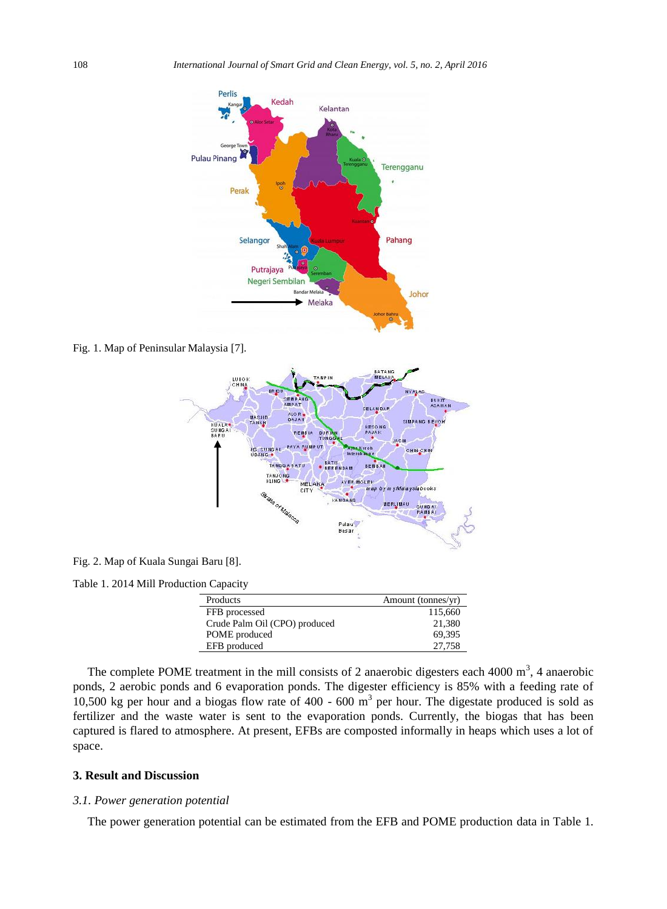

Fig. 1. Map of Peninsular Malaysia [7].



Fig. 2. Map of Kuala Sungai Baru [8].

Table 1. 2014 Mill Production Capacity

| Products                      | Amount (tonnes/yr) |
|-------------------------------|--------------------|
| FFB processed                 | 115,660            |
| Crude Palm Oil (CPO) produced | 21,380             |
| POME produced                 | 69.395             |
| EFB produced                  | 27,758             |
|                               |                    |

The complete POME treatment in the mill consists of 2 anaerobic digesters each 4000  $m<sup>3</sup>$ , 4 anaerobic ponds, 2 aerobic ponds and 6 evaporation ponds. The digester efficiency is 85% with a feeding rate of 10,500 kg per hour and a biogas flow rate of  $400 - 600$  m<sup>3</sup> per hour. The digestate produced is sold as fertilizer and the waste water is sent to the evaporation ponds. Currently, the biogas that has been captured is flared to atmosphere. At present, EFBs are composted informally in heaps which uses a lot of space.

# **3. Result and Discussion**

#### *3.1. Power generation potential*

The power generation potential can be estimated from the EFB and POME production data in Table 1.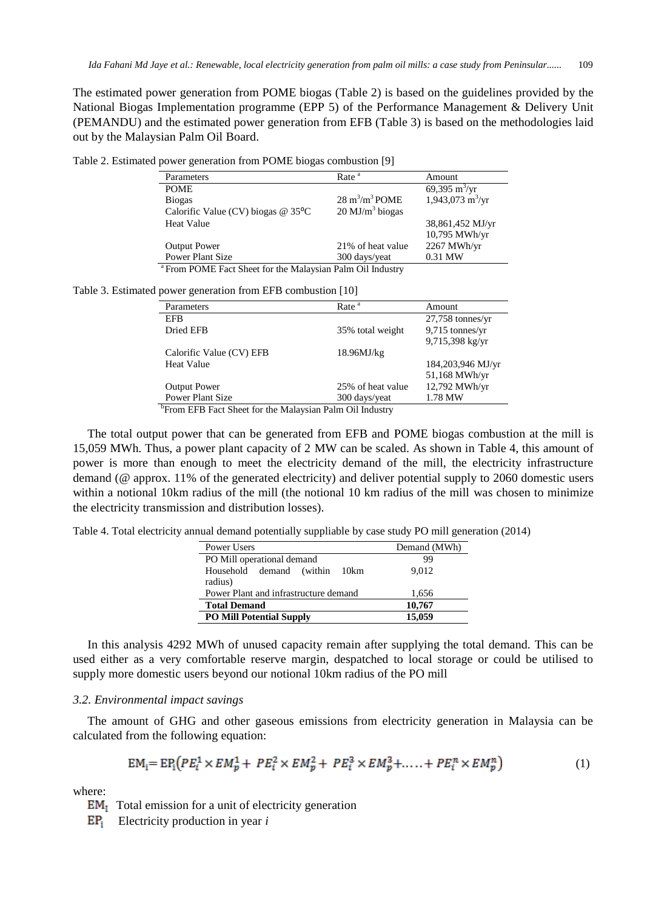The estimated power generation from POME biogas (Table 2) is based on the guidelines provided by the National Biogas Implementation programme (EPP 5) of the Performance Management & Delivery Unit (PEMANDU) and the estimated power generation from EFB (Table 3) is based on the methodologies laid out by the Malaysian Palm Oil Board.

| Rate <sup>a</sup>                | Amount                            |
|----------------------------------|-----------------------------------|
|                                  | 69,395 m <sup>3</sup> /yr         |
| $28 \text{ m}^3/\text{m}^3$ POME | $1,943,073 \text{ m}^3/\text{yr}$ |
| $20 \text{ MJ/m}^3$ biogas       |                                   |
|                                  | 38,861,452 MJ/yr                  |
|                                  | 10,795 MWh/yr                     |
| 21% of heat value                | 2267 MWh/yr                       |
| 300 days/yeat                    | 0.31 MW                           |
|                                  |                                   |

From POME Fact Sheet for the Malaysian Palm Oil Industry

Table 3. Estimated power generation from EFB combustion [10]

| Parameters               | Rate <sup>a</sup> | Amount             |
|--------------------------|-------------------|--------------------|
| <b>EFB</b>               |                   | $27,758$ tonnes/yr |
| Dried EFB                | 35% total weight  | 9,715 tonnes/yr    |
|                          |                   | 9,715,398 kg/yr    |
| Calorific Value (CV) EFB | 18.96MJ/kg        |                    |
| <b>Heat Value</b>        |                   | 184,203,946 MJ/yr  |
|                          |                   | 51,168 MWh/yr      |
| <b>Output Power</b>      | 25% of heat value | 12,792 MWh/yr      |
| <b>Power Plant Size</b>  | 300 days/yeat     | 1.78 MW            |

<sup>b</sup> From EFB Fact Sheet for the Malaysian Palm Oil Industry

The total output power that can be generated from EFB and POME biogas combustion at the mill is 15,059 MWh. Thus, a power plant capacity of 2 MW can be scaled. As shown in Table 4, this amount of power is more than enough to meet the electricity demand of the mill, the electricity infrastructure demand (@ approx. 11% of the generated electricity) and deliver potential supply to 2060 domestic users within a notional 10km radius of the mill (the notional 10 km radius of the mill was chosen to minimize the electricity transmission and distribution losses).

Table 4. Total electricity annual demand potentially suppliable by case study PO mill generation (2014)

| Power Users                                 | Demand (MWh) |
|---------------------------------------------|--------------|
| PO Mill operational demand                  | 99           |
| Household demand (within<br>10km<br>radius) | 9.012        |
| Power Plant and infrastructure demand       | 1,656        |
| <b>Total Demand</b>                         | 10,767       |
| <b>PO Mill Potential Supply</b>             | 15,059       |

In this analysis 4292 MWh of unused capacity remain after supplying the total demand. This can be used either as a very comfortable reserve margin, despatched to local storage or could be utilised to supply more domestic users beyond our notional 10km radius of the PO mill

#### *3.2. Environmental impact savings*

The amount of GHG and other gaseous emissions from electricity generation in Malaysia can be calculated from the following equation:

$$
EM_i = EP_i \Big( PE_i^1 \times EM_p^1 + PE_i^2 \times EM_p^2 + PE_i^3 \times EM_p^3 + \dots + PE_i^n \times EM_p^n \Big)
$$
 (1)

where:

 $EM<sub>I</sub>$  Total emission for a unit of electricity generation

Electricity production in year *i*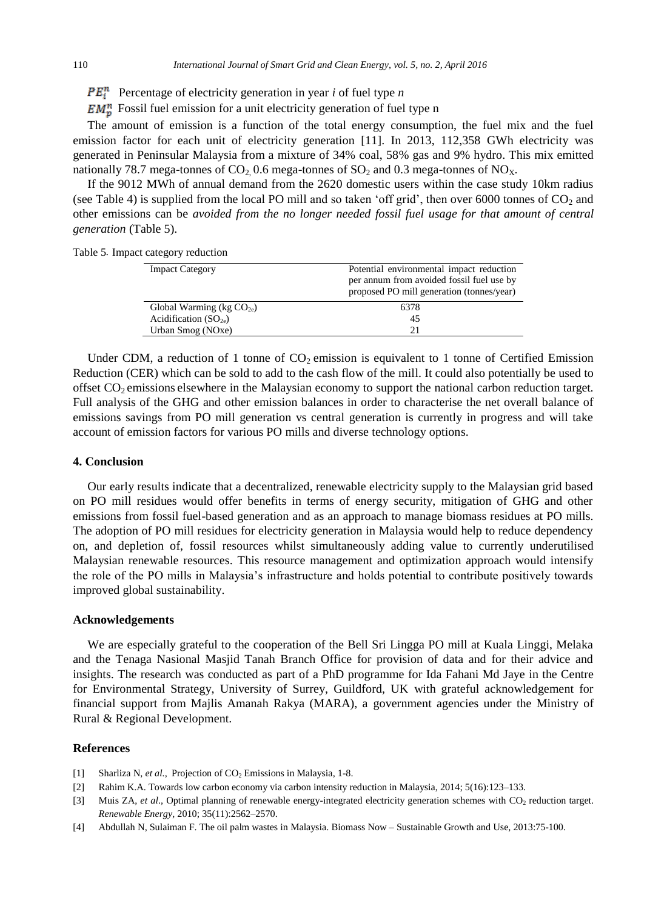- $PE_i^n$  Percentage of electricity generation in year *i* of fuel type *n*
- $EM_p^n$  Fossil fuel emission for a unit electricity generation of fuel type n

The amount of emission is a function of the total energy consumption, the fuel mix and the fuel emission factor for each unit of electricity generation [11]. In 2013, 112,358 GWh electricity was generated in Peninsular Malaysia from a mixture of 34% coal, 58% gas and 9% hydro. This mix emitted nationally 78.7 mega-tonnes of  $CO_2$  0.6 mega-tonnes of  $SO_2$  and 0.3 mega-tonnes of  $NO_X$ .

If the 9012 MWh of annual demand from the 2620 domestic users within the case study 10km radius (see Table 4) is supplied from the local PO mill and so taken 'off grid', then over 6000 tonnes of  $CO<sub>2</sub>$  and other emissions can be *avoided from the no longer needed fossil fuel usage for that amount of central generation* (Table 5).

Table 5. Impact category reduction

| <b>Impact Category</b>       | Potential environmental impact reduction<br>per annum from avoided fossil fuel use by<br>proposed PO mill generation (tonnes/year) |
|------------------------------|------------------------------------------------------------------------------------------------------------------------------------|
| Global Warming ( $kg CO2e$ ) | 6378                                                                                                                               |
| Acidification $(SO_{2e})$    | 45                                                                                                                                 |
| Urban Smog (NOxe)            | 21                                                                                                                                 |

Under CDM, a reduction of 1 tonne of  $CO<sub>2</sub>$  emission is equivalent to 1 tonne of Certified Emission Reduction (CER) which can be sold to add to the cash flow of the mill. It could also potentially be used to offset  $CO<sub>2</sub>$  emissions elsewhere in the Malaysian economy to support the national carbon reduction target. Full analysis of the GHG and other emission balances in order to characterise the net overall balance of emissions savings from PO mill generation vs central generation is currently in progress and will take account of emission factors for various PO mills and diverse technology options.

# **4. Conclusion**

Our early results indicate that a decentralized, renewable electricity supply to the Malaysian grid based on PO mill residues would offer benefits in terms of energy security, mitigation of GHG and other emissions from fossil fuel-based generation and as an approach to manage biomass residues at PO mills. The adoption of PO mill residues for electricity generation in Malaysia would help to reduce dependency on, and depletion of, fossil resources whilst simultaneously adding value to currently underutilised Malaysian renewable resources. This resource management and optimization approach would intensify the role of the PO mills in Malaysia's infrastructure and holds potential to contribute positively towards improved global sustainability.

#### **Acknowledgements**

We are especially grateful to the cooperation of the Bell Sri Lingga PO mill at Kuala Linggi, Melaka and the Tenaga Nasional Masjid Tanah Branch Office for provision of data and for their advice and insights. The research was conducted as part of a PhD programme for Ida Fahani Md Jaye in the Centre for Environmental Strategy, University of Surrey, Guildford, UK with grateful acknowledgement for financial support from Majlis Amanah Rakya (MARA), a government agencies under the Ministry of Rural & Regional Development.

# **References**

- [1] Sharliza N, et al., Projection of CO<sub>2</sub> Emissions in Malaysia, 1-8.
- [2] Rahim K.A. Towards low carbon economy via carbon intensity reduction in Malaysia, 2014; 5(16):123–133.
- [3] Muis ZA, *et al.*, Optimal planning of renewable energy-integrated electricity generation schemes with CO<sub>2</sub> reduction target. *Renewable Energy*, 2010; 35(11):2562–2570.
- [4] Abdullah N, Sulaiman F. The oil palm wastes in Malaysia. Biomass Now Sustainable Growth and Use, 2013:75-100.